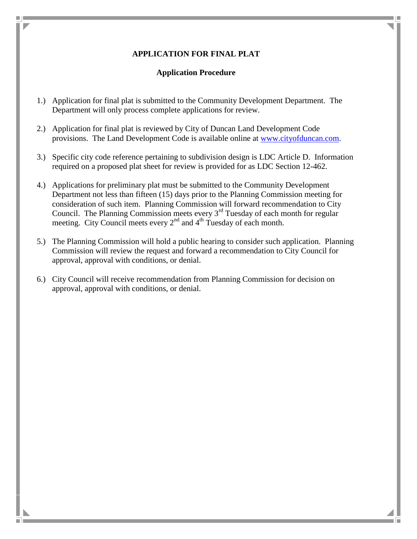## **APPLICATION FOR FINAL PLAT**

## **Application Procedure**

- 1.) Application for final plat is submitted to the Community Development Department. The Department will only process complete applications for review.
- 2.) Application for final plat is reviewed by City of Duncan Land Development Code provisions. The Land Development Code is available online at [www.cityofduncan.com.](http://www.cityofduncan.com/)
- 3.) Specific city code reference pertaining to subdivision design is LDC Article D. Information required on a proposed plat sheet for review is provided for as LDC Section 12-462.
- 4.) Applications for preliminary plat must be submitted to the Community Development Department not less than fifteen (15) days prior to the Planning Commission meeting for consideration of such item. Planning Commission will forward recommendation to City Council. The Planning Commission meets every  $3<sup>rd</sup>$  Tuesday of each month for regular meeting. City Council meets every  $2<sup>nd</sup>$  and  $4<sup>th</sup>$  Tuesday of each month.
- 5.) The Planning Commission will hold a public hearing to consider such application. Planning Commission will review the request and forward a recommendation to City Council for approval, approval with conditions, or denial.
- 6.) City Council will receive recommendation from Planning Commission for decision on approval, approval with conditions, or denial.